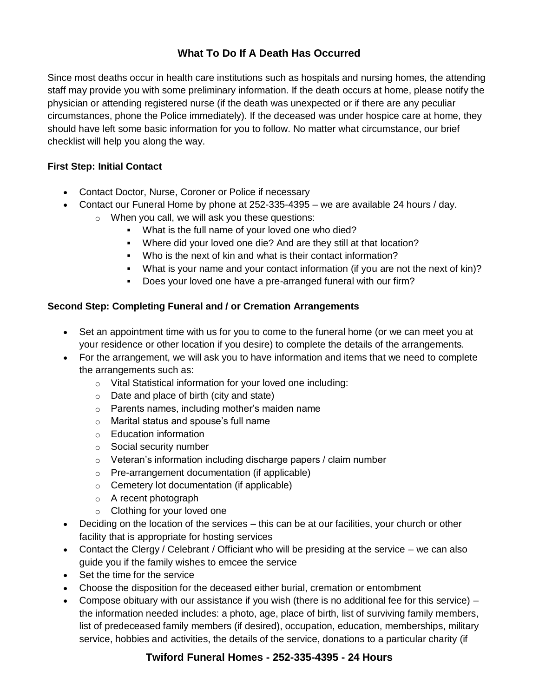# **What To Do If A Death Has Occurred**

Since most deaths occur in health care institutions such as hospitals and nursing homes, the attending staff may provide you with some preliminary information. If the death occurs at home, please notify the physician or attending registered nurse (if the death was unexpected or if there are any peculiar circumstances, phone the Police immediately). If the deceased was under hospice care at home, they should have left some basic information for you to follow. No matter what circumstance, our brief checklist will help you along the way.

## **First Step: Initial Contact**

- Contact Doctor, Nurse, Coroner or Police if necessary
- Contact our Funeral Home by phone at 252-335-4395 we are available 24 hours / day.
	- o When you call, we will ask you these questions:
		- What is the full name of your loved one who died?
		- Where did your loved one die? And are they still at that location?
		- Who is the next of kin and what is their contact information?
		- What is your name and your contact information (if you are not the next of kin)?
		- Does your loved one have a pre-arranged funeral with our firm?

## **Second Step: Completing Funeral and / or Cremation Arrangements**

- Set an appointment time with us for you to come to the funeral home (or we can meet you at your residence or other location if you desire) to complete the details of the arrangements.
- For the arrangement, we will ask you to have information and items that we need to complete the arrangements such as:
	- o Vital Statistical information for your loved one including:
	- $\circ$  Date and place of birth (city and state)
	- o Parents names, including mother's maiden name
	- o Marital status and spouse's full name
	- o Education information
	- o Social security number
	- o Veteran's information including discharge papers / claim number
	- o Pre-arrangement documentation (if applicable)
	- o Cemetery lot documentation (if applicable)
	- o A recent photograph
	- o Clothing for your loved one
- Deciding on the location of the services this can be at our facilities, your church or other facility that is appropriate for hosting services
- Contact the Clergy / Celebrant / Officiant who will be presiding at the service we can also guide you if the family wishes to emcee the service
- Set the time for the service
- Choose the disposition for the deceased either burial, cremation or entombment
- Compose obituary with our assistance if you wish (there is no additional fee for this service)  $$ the information needed includes: a photo, age, place of birth, list of surviving family members, list of predeceased family members (if desired), occupation, education, memberships, military service, hobbies and activities, the details of the service, donations to a particular charity (if

# **Twiford Funeral Homes - 252-335-4395 - 24 Hours**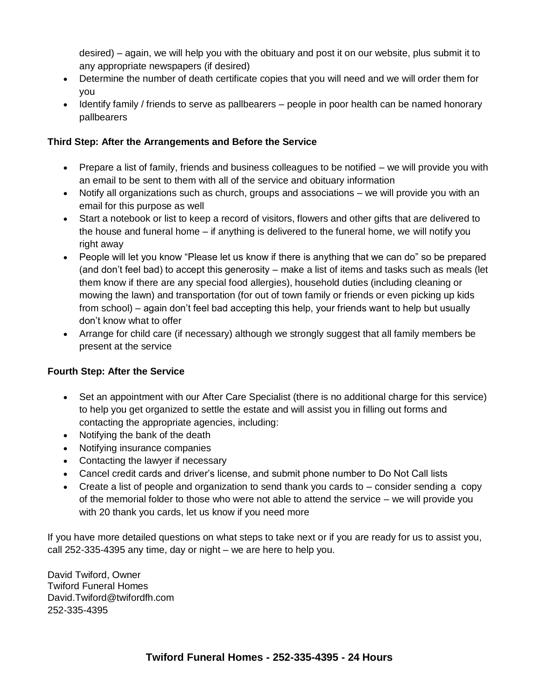desired) – again, we will help you with the obituary and post it on our website, plus submit it to any appropriate newspapers (if desired)

- Determine the number of death certificate copies that you will need and we will order them for you
- Identify family / friends to serve as pallbearers people in poor health can be named honorary pallbearers

## **Third Step: After the Arrangements and Before the Service**

- Prepare a list of family, friends and business colleagues to be notified we will provide you with an email to be sent to them with all of the service and obituary information
- Notify all organizations such as church, groups and associations we will provide you with an email for this purpose as well
- Start a notebook or list to keep a record of visitors, flowers and other gifts that are delivered to the house and funeral home – if anything is delivered to the funeral home, we will notify you right away
- People will let you know "Please let us know if there is anything that we can do" so be prepared (and don't feel bad) to accept this generosity – make a list of items and tasks such as meals (let them know if there are any special food allergies), household duties (including cleaning or mowing the lawn) and transportation (for out of town family or friends or even picking up kids from school) – again don't feel bad accepting this help, your friends want to help but usually don't know what to offer
- Arrange for child care (if necessary) although we strongly suggest that all family members be present at the service

## **Fourth Step: After the Service**

- Set an appointment with our After Care Specialist (there is no additional charge for this service) to help you get organized to settle the estate and will assist you in filling out forms and contacting the appropriate agencies, including:
- Notifying the bank of the death
- Notifying insurance companies
- Contacting the lawyer if necessary
- Cancel credit cards and driver's license, and submit phone number to Do Not Call lists
- Create a list of people and organization to send thank you cards to consider sending a copy of the memorial folder to those who were not able to attend the service – we will provide you with 20 thank you cards, let us know if you need more

If you have more detailed questions on what steps to take next or if you are ready for us to assist you, call 252-335-4395 any time, day or night – we are here to help you.

David Twiford, Owner Twiford Funeral Homes David.Twiford@twifordfh.com 252-335-4395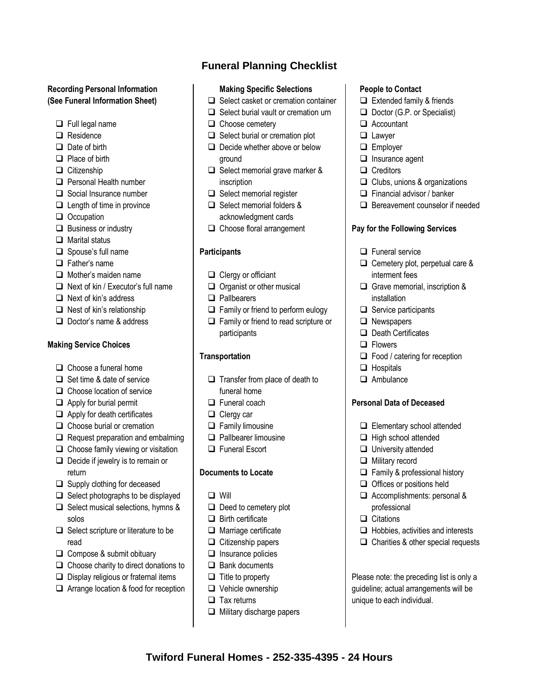### **Recording Personal Information (See Funeral Information Sheet)**

- $\Box$  Full legal name
- □ Residence
- $\Box$  Date of birth
- $\Box$  Place of birth
- $\Box$  Citizenship
- **Q** Personal Health number
- $\Box$  Social Insurance number
- $\Box$  Length of time in province
- Occupation
- $\Box$  Business or industry
- $\Box$  Marital status
- $\Box$  Spouse's full name
- □ Father's name
- $\Box$  Mother's maiden name
- $\Box$  Next of kin / Executor's full name
- $\Box$  Next of kin's address
- $\Box$  Nest of kin's relationship
- $\Box$  Doctor's name & address

#### **Making Service Choices**

- $\Box$  Choose a funeral home
- $\Box$  Set time & date of service
- $\Box$  Choose location of service
- $\Box$  Apply for burial permit
- $\Box$  Apply for death certificates
- Choose burial or cremation
- $\Box$  Request preparation and embalming
- $\Box$  Choose family viewing or visitation
- $\Box$  Decide if jewelry is to remain or return
- $\Box$  Supply clothing for deceased
- $\Box$  Select photographs to be displayed
- $\Box$  Select musical selections, hymns & solos
- $\Box$  Select scripture or literature to be read
- Compose & submit obituary
- $\Box$  Choose charity to direct donations to
- $\Box$  Display religious or fraternal items
- □ Arrange location & food for reception

# **Funeral Planning Checklist**

#### **Making Specific Selections**

- $\Box$  Select casket or cremation container
- $\Box$  Select burial vault or cremation urn
- $\Box$  Choose cemetery
- $\Box$  Select burial or cremation plot
- $\Box$  Decide whether above or below ground
- $\Box$  Select memorial grave marker & inscription
- $\Box$  Select memorial register
- □ Select memorial folders & acknowledgment cards
- Choose floral arrangement

### **Participants**

- Clergy or officiant
- $\Box$  Organist or other musical
- **D** Pallbearers
- $\Box$  Family or friend to perform eulogy
- □ Family or friend to read scripture or participants

#### **Transportation**

- $\Box$  Transfer from place of death to funeral home
- **Funeral coach**
- $\Box$  Clergy car
- $\Box$  Family limousine
- **D** Pallbearer limousine
- **Example 1** Funeral Escort

#### **Documents to Locate**

- □ Will
- $\Box$  Deed to cemetery plot
- $\Box$  Birth certificate
- $\Box$  Marriage certificate
- $\Box$  Citizenship papers
- $\Box$  Insurance policies
- $\Box$  Bank documents
- $\Box$  Title to property
- □ Vehicle ownership
- $\Box$  Tax returns
- $\Box$  Military discharge papers

**Twiford Funeral Homes - 252-335-4395 - 24 Hours**

#### **People to Contact**

- $\Box$  Extended family & friends
- $\Box$  Doctor (G.P. or Specialist)
- □ Accountant
- **Lawyer**
- **Employer**
- $\Box$  Insurance agent
- □ Creditors
- $\Box$  Clubs, unions & organizations
- $\Box$  Financial advisor / banker
- $\Box$  Bereavement counselor if needed

#### **Pay for the Following Services**

- $\Box$  Funeral service
- Cemetery plot, perpetual care & interment fees
- Grave memorial, inscription & installation
- $\Box$  Service participants
- **Newspapers**
- $\Box$  Death Certificates
- **D** Flowers
- □ Food / catering for reception
- $\Box$  Hospitals
- $\Box$  Ambulance

### **Personal Data of Deceased**

Elementary school attended

 $\Box$  Family & professional history  $\Box$  Offices or positions held Accomplishments: personal &

 $\Box$  Hobbies, activities and interests  $\Box$  Charities & other special requests

Please note: the preceding list is only a guideline; actual arrangements will be

- $\Box$  High school attended
- **University attended**
- **Military record**

professional  $\Box$  Citations

unique to each individual.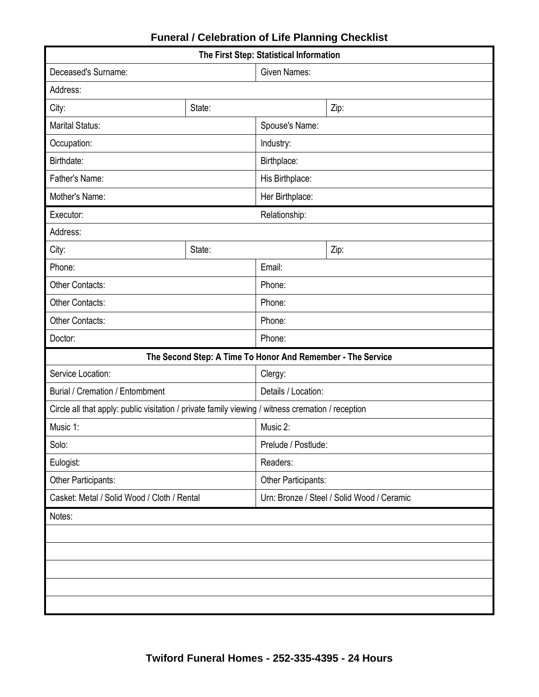| The First Step: Statistical Information                                                           |        |                                            |      |  |  |  |
|---------------------------------------------------------------------------------------------------|--------|--------------------------------------------|------|--|--|--|
| Deceased's Surname:                                                                               |        | <b>Given Names:</b>                        |      |  |  |  |
| Address:                                                                                          |        |                                            |      |  |  |  |
| State:<br>City:                                                                                   |        |                                            | Zip: |  |  |  |
| <b>Marital Status:</b>                                                                            |        | Spouse's Name:                             |      |  |  |  |
| Occupation:                                                                                       |        | Industry:                                  |      |  |  |  |
| Birthdate:                                                                                        |        | Birthplace:                                |      |  |  |  |
| Father's Name:                                                                                    |        | His Birthplace:                            |      |  |  |  |
| Mother's Name:                                                                                    |        | Her Birthplace:                            |      |  |  |  |
| Executor:                                                                                         |        | Relationship:                              |      |  |  |  |
| Address:                                                                                          |        |                                            |      |  |  |  |
| City:                                                                                             | State: |                                            | Zip: |  |  |  |
| Phone:                                                                                            |        | Email:                                     |      |  |  |  |
| <b>Other Contacts:</b>                                                                            |        | Phone:                                     |      |  |  |  |
| Other Contacts:                                                                                   |        | Phone:                                     |      |  |  |  |
| Other Contacts:                                                                                   |        | Phone:                                     |      |  |  |  |
| Doctor:                                                                                           |        | Phone:                                     |      |  |  |  |
| The Second Step: A Time To Honor And Remember - The Service                                       |        |                                            |      |  |  |  |
| Service Location:                                                                                 |        | Clergy:                                    |      |  |  |  |
| Burial / Cremation / Entombment                                                                   |        | Details / Location:                        |      |  |  |  |
| Circle all that apply: public visitation / private family viewing / witness cremation / reception |        |                                            |      |  |  |  |
| Music 1:                                                                                          |        | Music 2:                                   |      |  |  |  |
| Solo:                                                                                             |        | Prelude / Postlude:                        |      |  |  |  |
| Eulogist:                                                                                         |        | Readers:                                   |      |  |  |  |
| Other Participants:                                                                               |        | Other Participants:                        |      |  |  |  |
| Casket: Metal / Solid Wood / Cloth / Rental                                                       |        | Urn: Bronze / Steel / Solid Wood / Ceramic |      |  |  |  |
| Notes:                                                                                            |        |                                            |      |  |  |  |
|                                                                                                   |        |                                            |      |  |  |  |
|                                                                                                   |        |                                            |      |  |  |  |
|                                                                                                   |        |                                            |      |  |  |  |
|                                                                                                   |        |                                            |      |  |  |  |
|                                                                                                   |        |                                            |      |  |  |  |